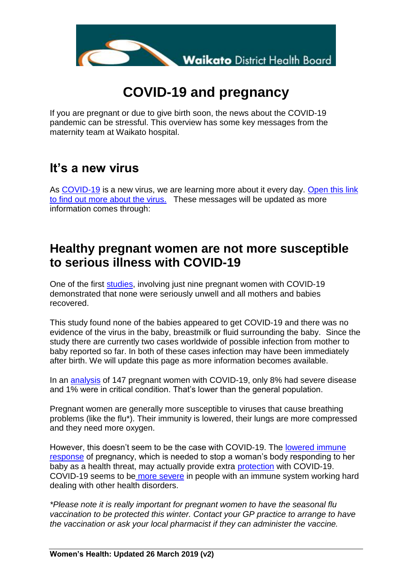

# **COVID-19 and pregnancy**

If you are pregnant or due to give birth soon, the news about the COVID-19 pandemic can be stressful. This overview has some key messages from the maternity team at Waikato hospital.

#### **It's a new virus**

As [COVID-19](https://covid19.govt.nz/help-and-advice/for-everyone/understanding-covid-19/) is a new virus, we are learning more about it every day. [Open this link](https://covid19.govt.nz/help-and-advice/for-everyone/understanding-covid-19/)  [to find out more about the virus.](https://covid19.govt.nz/help-and-advice/for-everyone/understanding-covid-19/) These messages will be updated as more information comes through:

### **Healthy pregnant women are not more susceptible to serious illness with COVID-19**

One of the first [studies,](https://www.thelancet.com/journals/lancet/article/PIIS0140-6736(20)30360-3/fulltext) involving just nine pregnant women with COVID-19 demonstrated that none were seriously unwell and all mothers and babies recovered.

This study found none of the babies appeared to get COVID-19 and there was no evidence of the virus in the baby, breastmilk or fluid surrounding the baby. Since the study there are currently two cases worldwide of possible infection from mother to baby reported so far. In both of these cases infection may have been immediately after birth. We will update this page as more information becomes available.

In an [analysis](https://www.who.int/docs/default-source/coronaviruse/who-china-joint-mission-on-covid-19-final-report.pdf) of 147 pregnant women with COVID-19, only 8% had severe disease and 1% were in critical condition. That's lower than the general population.

Pregnant women are generally more susceptible to viruses that cause breathing problems (like the flu\*). Their immunity is lowered, their lungs are more compressed and they need more oxygen.

However, this doesn't seem to be the case with COVID-19. The [lowered immune](https://immunology.sciencemag.org/content/2/15/eaan2946)  [response](https://immunology.sciencemag.org/content/2/15/eaan2946) of pregnancy, which is needed to stop a woman's body responding to her baby as a health threat, may actually provide extra [protection](https://www.statnews.com/2020/03/03/who-is-getting-sick-and-how-sick-a-breakdown-of-coronavirus-risk-by-demographic-factors/) with COVID-19. COVID-19 seems to be [more severe](https://www.medrxiv.org/content/10.1101/2020.02.26.20026989v1.full.pdf) in people with an immune system working hard dealing with other health disorders.

*\*Please note it is really important for pregnant women to have the seasonal flu vaccination to be protected this winter. Contact your GP practice to arrange to have the vaccination or ask your local pharmacist if they can administer the vaccine.*